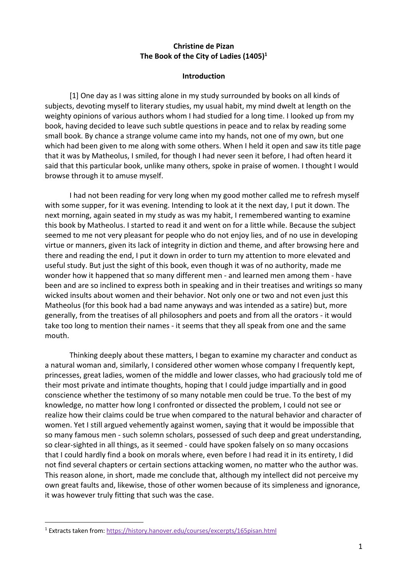### **Christine de Pizan The Book of the City of Ladies (1405)1**

#### **Introduction**

[1] One day as I was sitting alone in my study surrounded by books on all kinds of subjects, devoting myself to literary studies, my usual habit, my mind dwelt at length on the weighty opinions of various authors whom I had studied for a long time. I looked up from my book, having decided to leave such subtle questions in peace and to relax by reading some small book. By chance a strange volume came into my hands, not one of my own, but one which had been given to me along with some others. When I held it open and saw its title page that it was by Matheolus, I smiled, for though I had never seen it before, I had often heard it said that this particular book, unlike many others, spoke in praise of women. I thought I would browse through it to amuse myself.

I had not been reading for very long when my good mother called me to refresh myself with some supper, for it was evening. Intending to look at it the next day, I put it down. The next morning, again seated in my study as was my habit, I remembered wanting to examine this book by Matheolus. I started to read it and went on for a little while. Because the subject seemed to me not very pleasant for people who do not enjoy lies, and of no use in developing virtue or manners, given its lack of integrity in diction and theme, and after browsing here and there and reading the end, I put it down in order to turn my attention to more elevated and useful study. But just the sight of this book, even though it was of no authority, made me wonder how it happened that so many different men - and learned men among them - have been and are so inclined to express both in speaking and in their treatises and writings so many wicked insults about women and their behavior. Not only one or two and not even just this Matheolus (for this book had a bad name anyways and was intended as a satire) but, more generally, from the treatises of all philosophers and poets and from all the orators - it would take too long to mention their names - it seems that they all speak from one and the same mouth.

Thinking deeply about these matters, I began to examine my character and conduct as a natural woman and, similarly, I considered other women whose company I frequently kept, princesses, great ladies, women of the middle and lower classes, who had graciously told me of their most private and intimate thoughts, hoping that I could judge impartially and in good conscience whether the testimony of so many notable men could be true. To the best of my knowledge, no matter how long I confronted or dissected the problem, I could not see or realize how their claims could be true when compared to the natural behavior and character of women. Yet I still argued vehemently against women, saying that it would be impossible that so many famous men - such solemn scholars, possessed of such deep and great understanding, so clear-sighted in all things, as it seemed - could have spoken falsely on so many occasions that I could hardly find a book on morals where, even before I had read it in its entirety, I did not find several chapters or certain sections attacking women, no matter who the author was. This reason alone, in short, made me conclude that, although my intellect did not perceive my own great faults and, likewise, those of other women because of its simpleness and ignorance, it was however truly fitting that such was the case.

<sup>&</sup>lt;sup>1</sup> Extracts taken from: https://history.hanover.edu/courses/excerpts/165pisan.html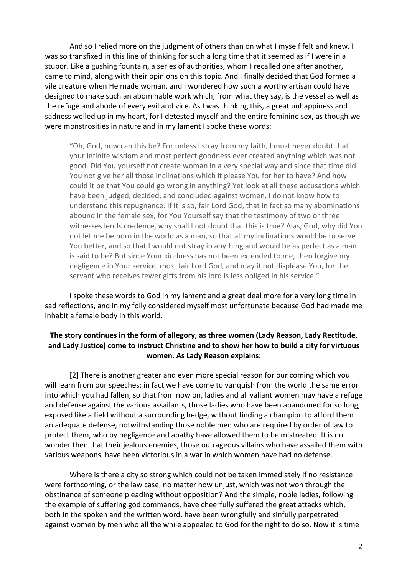And so I relied more on the judgment of others than on what I myself felt and knew. I was so transfixed in this line of thinking for such a long time that it seemed as if I were in a stupor. Like a gushing fountain, a series of authorities, whom I recalled one after another, came to mind, along with their opinions on this topic. And I finally decided that God formed a vile creature when He made woman, and I wondered how such a worthy artisan could have designed to make such an abominable work which, from what they say, is the vessel as well as the refuge and abode of every evil and vice. As I was thinking this, a great unhappiness and sadness welled up in my heart, for I detested myself and the entire feminine sex, as though we were monstrosities in nature and in my lament I spoke these words:

"Oh, God, how can this be? For unless I stray from my faith, I must never doubt that your infinite wisdom and most perfect goodness ever created anything which was not good. Did You yourself not create woman in a very special way and since that time did You not give her all those inclinations which it please You for her to have? And how could it be that You could go wrong in anything? Yet look at all these accusations which have been judged, decided, and concluded against women. I do not know how to understand this repugnance. If it is so, fair Lord God, that in fact so many abominations abound in the female sex, for You Yourself say that the testimony of two or three witnesses lends credence, why shall I not doubt that this is true? Alas, God, why did You not let me be born in the world as a man, so that all my inclinations would be to serve You better, and so that I would not stray in anything and would be as perfect as a man is said to be? But since Your kindness has not been extended to me, then forgive my negligence in Your service, most fair Lord God, and may it not displease You, for the servant who receives fewer gifts from his lord is less obliged in his service."

I spoke these words to God in my lament and a great deal more for a very long time in sad reflections, and in my folly considered myself most unfortunate because God had made me inhabit a female body in this world.

# **The story continues in the form of allegory, as three women (Lady Reason, Lady Rectitude, and Lady Justice) come to instruct Christine and to show her how to build a city for virtuous women. As Lady Reason explains:**

[2] There is another greater and even more special reason for our coming which you will learn from our speeches: in fact we have come to vanquish from the world the same error into which you had fallen, so that from now on, ladies and all valiant women may have a refuge and defense against the various assailants, those ladies who have been abandoned for so long, exposed like a field without a surrounding hedge, without finding a champion to afford them an adequate defense, notwithstanding those noble men who are required by order of law to protect them, who by negligence and apathy have allowed them to be mistreated. It is no wonder then that their jealous enemies, those outrageous villains who have assailed them with various weapons, have been victorious in a war in which women have had no defense.

Where is there a city so strong which could not be taken immediately if no resistance were forthcoming, or the law case, no matter how unjust, which was not won through the obstinance of someone pleading without opposition? And the simple, noble ladies, following the example of suffering god commands, have cheerfully suffered the great attacks which, both in the spoken and the written word, have been wrongfully and sinfully perpetrated against women by men who all the while appealed to God for the right to do so. Now it is time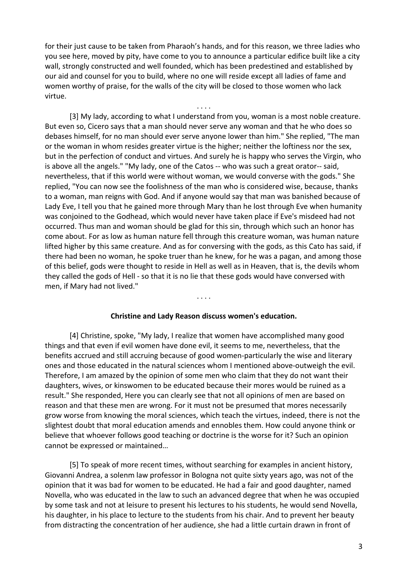for their just cause to be taken from Pharaoh's hands, and for this reason, we three ladies who you see here, moved by pity, have come to you to announce a particular edifice built like a city wall, strongly constructed and well founded, which has been predestined and established by our aid and counsel for you to build, where no one will reside except all ladies of fame and women worthy of praise, for the walls of the city will be closed to those women who lack virtue.

## . . . .

[3] My lady, according to what I understand from you, woman is a most noble creature. But even so, Cicero says that a man should never serve any woman and that he who does so debases himself, for no man should ever serve anyone lower than him." She replied, "The man or the woman in whom resides greater virtue is the higher; neither the loftiness nor the sex, but in the perfection of conduct and virtues. And surely he is happy who serves the Virgin, who is above all the angels." "My lady, one of the Catos -- who was such a great orator-- said, nevertheless, that if this world were without woman, we would converse with the gods." She replied, "You can now see the foolishness of the man who is considered wise, because, thanks to a woman, man reigns with God. And if anyone would say that man was banished because of Lady Eve, I tell you that he gained more through Mary than he lost through Eve when humanity was conjoined to the Godhead, which would never have taken place if Eve's misdeed had not occurred. Thus man and woman should be glad for this sin, through which such an honor has come about. For as low as human nature fell through this creature woman, was human nature lifted higher by this same creature. And as for conversing with the gods, as this Cato has said, if there had been no woman, he spoke truer than he knew, for he was a pagan, and among those of this belief, gods were thought to reside in Hell as well as in Heaven, that is, the devils whom they called the gods of Hell - so that it is no lie that these gods would have conversed with men, if Mary had not lived."

#### **Christine and Lady Reason discuss women's education.**

. . . .

[4] Christine, spoke, "My lady, I realize that women have accomplished many good things and that even if evil women have done evil, it seems to me, nevertheless, that the benefits accrued and still accruing because of good women-particularly the wise and literary ones and those educated in the natural sciences whom I mentioned above-outweigh the evil. Therefore, I am amazed by the opinion of some men who claim that they do not want their daughters, wives, or kinswomen to be educated because their mores would be ruined as a result." She responded, Here you can clearly see that not all opinions of men are based on reason and that these men are wrong. For it must not be presumed that mores necessarily grow worse from knowing the moral sciences, which teach the virtues, indeed, there is not the slightest doubt that moral education amends and ennobles them. How could anyone think or believe that whoever follows good teaching or doctrine is the worse for it? Such an opinion cannot be expressed or maintained…

[5] To speak of more recent times, without searching for examples in ancient history, Giovanni Andrea, a solenm law professor in Bologna not quite sixty years ago, was not of the opinion that it was bad for women to be educated. He had a fair and good daughter, named Novella, who was educated in the law to such an advanced degree that when he was occupied by some task and not at leisure to present his lectures to his students, he would send Novella, his daughter, in his place to lecture to the students from his chair. And to prevent her beauty from distracting the concentration of her audience, she had a little curtain drawn in front of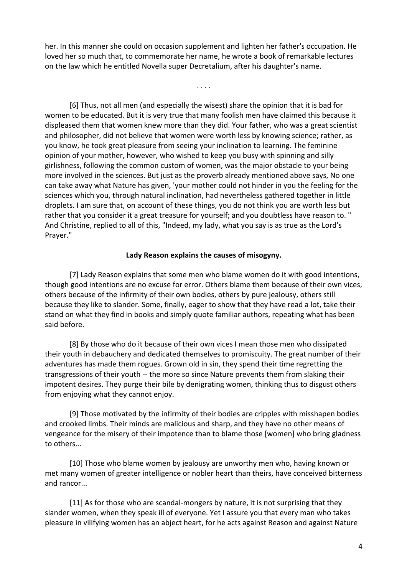her. In this manner she could on occasion supplement and lighten her father's occupation. He loved her so much that, to commemorate her name, he wrote a book of remarkable lectures on the law which he entitled Novella super Decretalium, after his daughter's name.

. . . .

[6] Thus, not all men (and especially the wisest) share the opinion that it is bad for women to be educated. But it is very true that many foolish men have claimed this because it displeased them that women knew more than they did. Your father, who was a great scientist and philosopher, did not believe that women were worth less by knowing science; rather, as you know, he took great pleasure from seeing your inclination to learning. The feminine opinion of your mother, however, who wished to keep you busy with spinning and silly girlishness, following the common custom of women, was the major obstacle to your being more involved in the sciences. But just as the proverb already mentioned above says, No one can take away what Nature has given, 'your mother could not hinder in you the feeling for the sciences which you, through natural inclination, had nevertheless gathered together in little droplets. I am sure that, on account of these things, you do not think you are worth less but rather that you consider it a great treasure for yourself; and you doubtless have reason to. " And Christine, replied to all of this, "Indeed, my lady, what you say is as true as the Lord's Prayer."

### **Lady Reason explains the causes of misogyny.**

[7] Lady Reason explains that some men who blame women do it with good intentions, though good intentions are no excuse for error. Others blame them because of their own vices, others because of the infirmity of their own bodies, others by pure jealousy, others still because they like to slander. Some, finally, eager to show that they have read a lot, take their stand on what they find in books and simply quote familiar authors, repeating what has been said before.

[8] By those who do it because of their own vices I mean those men who dissipated their youth in debauchery and dedicated themselves to promiscuity. The great number of their adventures has made them rogues. Grown old in sin, they spend their time regretting the transgressions of their youth -- the more so since Nature prevents them from slaking their impotent desires. They purge their bile by denigrating women, thinking thus to disgust others from enjoying what they cannot enjoy.

[9] Those motivated by the infirmity of their bodies are cripples with misshapen bodies and crooked limbs. Their minds are malicious and sharp, and they have no other means of vengeance for the misery of their impotence than to blame those [women] who bring gladness to others...

[10] Those who blame women by jealousy are unworthy men who, having known or met many women of greater intelligence or nobler heart than theirs, have conceived bitterness and rancor...

[11] As for those who are scandal-mongers by nature, it is not surprising that they slander women, when they speak ill of everyone. Yet I assure you that every man who takes pleasure in vilifying women has an abject heart, for he acts against Reason and against Nature